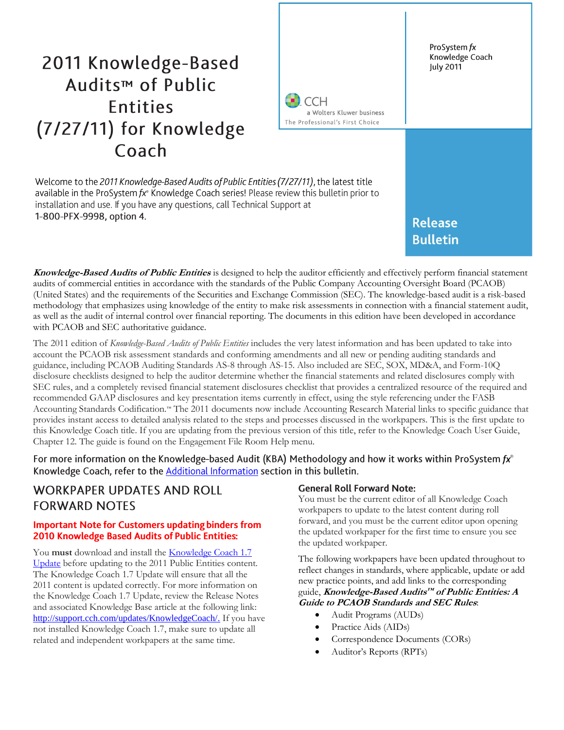# 2011 Knowledge-Based Audits<sup>™</sup> of Public **Entities** (7/27/11) for Knowledge Coach



Welcome to the 2011 Knowledge-Based Audits of Public Entities (7/27/11), the latest title available in the ProSystem fx<sup>®</sup> Knowledge Coach series! Please review this bulletin prior to installation and use. If you have any questions, call Technical Support at 1-800-PFX-9998, option 4.

# **Release Bulletin**

**Knowledge-Based Audits of Public Entities** is designed to help the auditor efficiently and effectively perform financial statement audits of commercial entities in accordance with the standards of the Public Company Accounting Oversight Board (PCAOB) (United States) and the requirements of the Securities and Exchange Commission (SEC). The knowledge-based audit is a risk-based methodology that emphasizes using knowledge of the entity to make risk assessments in connection with a financial statement audit, as well as the audit of internal control over financial reporting. The documents in this edition have been developed in accordance with PCAOB and SEC authoritative guidance.

The 2011 edition of *Knowledge-Based Audits of Public Entities* includes the very latest information and has been updated to take into account the PCAOB risk assessment standards and conforming amendments and all new or pending auditing standards and guidance, including PCAOB Auditing Standards AS-8 through AS-15. Also included are SEC, SOX, MD&A, and Form-10Q disclosure checklists designed to help the auditor determine whether the financial statements and related disclosures comply with SEC rules, and a completely revised financial statement disclosures checklist that provides a centralized resource of the required and recommended GAAP disclosures and key presentation items currently in effect, using the style referencing under the FASB Accounting Standards Codification.™ The 2011 documents now include Accounting Research Material links to specific guidance that provides instant access to detailed analysis related to the steps and processes discussed in the workpapers. This is the first update to this Knowledge Coach title. If you are updating from the previous version of this title, refer to the Knowledge Coach User Guide, Chapter 12. The guide is found on the Engagement File Room Help menu.

For more information on the Knowledge-based Audit (KBA) Methodology and how it works within ProSystem  $f x^{\circ}$ Knowledge Coach, refer to the **Additional Information** section in this bulletin.

### **WORKPAPER UPDATES AND ROLL FORWARD NOTES**

#### **Important Note for Customers updating binders from** 2010 Knowledge Based Audits of Public Entities:

You must download and install the **[Knowledge Coach 1.7](http://support.cch.com/updates/KnowledgeCoach/)** [Update](http://support.cch.com/updates/KnowledgeCoach/) before updating to the 2011 Public Entities content. The Knowledge Coach 1.7 Update will ensure that all the 2011 content is updated correctly. For more information on the Knowledge Coach 1.7 Update, review the Release Notes and associated Knowledge Base article at the following link: [http://support.cch.com/updates/KnowledgeCoach/.](http://support.cch.com/updates/KnowledgeCoach/) If you have not installed Knowledge Coach 1.7, make sure to update all related and independent workpapers at the same time.

### **General Roll Forward Note:**

You must be the current editor of all Knowledge Coach workpapers to update to the latest content during roll forward, and you must be the current editor upon opening the updated workpaper for the first time to ensure you see the updated workpaper.

The following workpapers have been updated throughout to reflect changes in standards, where applicable, update or add new practice points, and add links to the corresponding guide, **Knowledge-Based Audits™ of Public Entities: A Guide to PCAOB Standards and SEC Rules**:

- Audit Programs (AUDs)
- Practice Aids (AIDs)
- Correspondence Documents (CORs)
- Auditor's Reports (RPTs)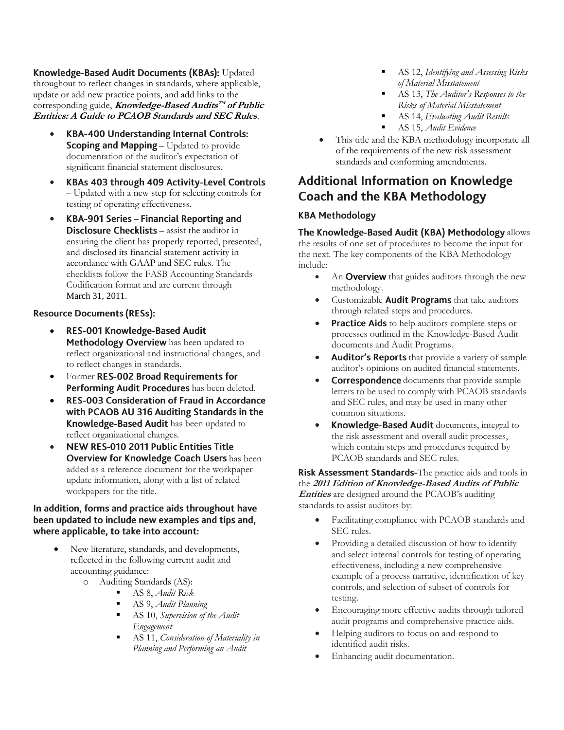Knowledge-Based Audit Documents (KBAs): Updated throughout to reflect changes in standards, where applicable, update or add new practice points, and add links to the corresponding guide, **Knowledge-Based Audits™ of Public Entities: A Guide to PCAOB Standards and SEC Rules**.

- **KBA-400 Understanding Internal Controls:**  $\bullet$ Scoping and Mapping - Updated to provide documentation of the auditor's expectation of significant financial statement disclosures.
- $\bullet$ KBAs 403 through 409 Activity-Level Controls – Updated with a new step for selecting controls for testing of operating effectiveness.
- KBA-901 Series Financial Reporting and  $\bullet$ **Disclosure Checklists** – assist the auditor in ensuring the client has properly reported, presented, and disclosed its financial statement activity in accordance with GAAP and SEC rules. The checklists follow the FASB Accounting Standards Codification format and are current through March 31, 2011.

### **Resource Documents (RESs):**

- RES-001 Knowledge-Based Audit  $\bullet$ Methodology Overview has been updated to reflect organizational and instructional changes, and to reflect changes in standards.
- Former RES-002 Broad Requirements for Performing Audit Procedures has been deleted.
- $\bullet$ RES-003 Consideration of Fraud in Accordance with PCAOB AU 316 Auditing Standards in the Knowledge-Based Audit has been updated to reflect organizational changes.
- $\bullet$ NEW RES-010 2011 Public Entities Title Overview for Knowledge Coach Users has been added as a reference document for the workpaper update information, along with a list of related workpapers for the title.

#### In addition, forms and practice aids throughout have been updated to include new examples and tips and, where applicable, to take into account:

- New literature, standards, and developments, reflected in the following current audit and accounting guidance:
	- $\circ$  Auditing Standards (AS):
		- AS 8, *Audit Risk*
		- AS 9, *Audit Planning*
		- AS 10, *Supervision of the Audit Engagement*
		- AS 11, *Consideration of Materiality in Planning and Performing an Audit*
- AS 12, *Identifying and Assessing Risks of Material Misstatement*
- AS 13, *The Auditor's Responses to the Risks of Material Misstatement*
- AS 14, *Evaluating Audit Results*
- AS 15, *Audit Evidence*
- This title and the KBA methodology incorporate all of the requirements of the new risk assessment standards and conforming amendments.

## **Additional Information on Knowledge Coach and the KBA Methodology**

### **KBA Methodology**

The Knowledge-Based Audit (KBA) Methodology allows the results of one set of procedures to become the input for the next. The key components of the KBA Methodology include:

- An **Overview** that guides auditors through the new methodology.
- Customizable **Audit Programs** that take auditors through related steps and procedures.
- Practice Aids to help auditors complete steps or processes outlined in the Knowledge-Based Audit documents and Audit Programs.
- Auditor's Reports that provide a variety of sample auditor's opinions on audited financial statements.
- Correspondence documents that provide sample letters to be used to comply with PCAOB standards and SEC rules, and may be used in many other common situations.
- Knowledge-Based Audit documents, integral to the risk assessment and overall audit processes, which contain steps and procedures required by PCAOB standards and SEC rules.

Risk Assessment Standards-The practice aids and tools in the **2011 Edition of Knowledge-Based Audits of Public Entities** are designed around the PCAOB's auditing standards to assist auditors by:

- Facilitating compliance with PCAOB standards and SEC rules.
- Providing a detailed discussion of how to identify and select internal controls for testing of operating effectiveness, including a new comprehensive example of a process narrative, identification of key controls, and selection of subset of controls for testing.
- Encouraging more effective audits through tailored audit programs and comprehensive practice aids.
- Helping auditors to focus on and respond to identified audit risks.
- Enhancing audit documentation.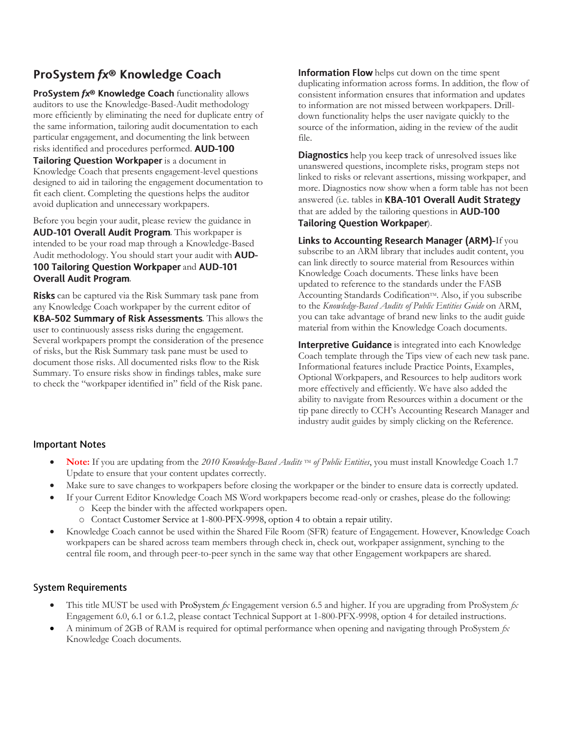# ProSystem fx® Knowledge Coach

ProSystem fx® Knowledge Coach functionality allows auditors to use the Knowledge-Based-Audit methodology more efficiently by eliminating the need for duplicate entry of the same information, tailoring audit documentation to each particular engagement, and documenting the link between risks identified and procedures performed. AUD-100 Tailoring Question Workpaper is a document in Knowledge Coach that presents engagement-level questions designed to aid in tailoring the engagement documentation to fit each client. Completing the questions helps the auditor avoid duplication and unnecessary workpapers.

Before you begin your audit, please review the guidance in AUD-101 Overall Audit Program. This workpaper is intended to be your road map through a Knowledge-Based Audit methodology. You should start your audit with **AUD-**100 Tailoring Question Workpaper and AUD-101 **Overall Audit Program.** 

**Risks** can be captured via the Risk Summary task pane from any Knowledge Coach workpaper by the current editor of KBA-502 Summary of Risk Assessments. This allows the user to continuously assess risks during the engagement. Several workpapers prompt the consideration of the presence of risks, but the Risk Summary task pane must be used to document those risks. All documented risks flow to the Risk Summary. To ensure risks show in findings tables, make sure to check the "workpaper identified in" field of the Risk pane.

**Information Flow** helps cut down on the time spent duplicating information across forms. In addition, the flow of consistent information ensures that information and updates to information are not missed between workpapers. Drilldown functionality helps the user navigate quickly to the source of the information, aiding in the review of the audit file.

**Diagnostics** help you keep track of unresolved issues like unanswered questions, incomplete risks, program steps not linked to risks or relevant assertions, missing workpaper, and more. Diagnostics now show when a form table has not been answered (i.e. tables in KBA-101 Overall Audit Strategy that are added by the tailoring questions in **AUD-100** Tailoring Question Workpaper).

Links to Accounting Research Manager (ARM)-If you subscribe to an ARM library that includes audit content, you can link directly to source material from Resources within Knowledge Coach documents. These links have been updated to reference to the standards under the FASB Accounting Standards Codification™. Also, if you subscribe to the *Knowledge-Based Audits of Public Entities Guide* on ARM, you can take advantage of brand new links to the audit guide material from within the Knowledge Coach documents.

Interpretive Guidance is integrated into each Knowledge Coach template through the Tips view of each new task pane. Informational features include Practice Points, Examples, Optional Workpapers, and Resources to help auditors work more effectively and efficiently. We have also added the ability to navigate from Resources within a document or the tip pane directly to CCH's Accounting Research Manager and industry audit guides by simply clicking on the Reference.

### **Important Notes**

- **Note:** If you are updating from the 2010 Knowledge-Based *Audits* TM of Public Entities, you must install Knowledge Coach 1.7 Update to ensure that your content updates correctly.
- Make sure to save changes to workpapers before closing the workpaper or the binder to ensure data is correctly updated.
	- If your Current Editor Knowledge Coach MS Word workpapers become read-only or crashes, please do the following: o Keep the binder with the affected workpapers open.
		- o Contact Customer Service at 1-800-PFX-9998, option 4 to obtain a repair utility.
- Knowledge Coach cannot be used within the Shared File Room (SFR) feature of Engagement. However, Knowledge Coach workpapers can be shared across team members through check in, check out, workpaper assignment, synching to the central file room, and through peer-to-peer synch in the same way that other Engagement workpapers are shared.

### **System Requirements**

- This title MUST be used with ProSystem *fx* Engagement version 6.5 and higher. If you are upgrading from ProSystem *fx*  Engagement 6.0, 6.1 or 6.1.2, please contact Technical Support at 1-800-PFX-9998, option 4 for detailed instructions.
- A minimum of 2GB of RAM is required for optimal performance when opening and navigating through ProSystem *fx*  Knowledge Coach documents.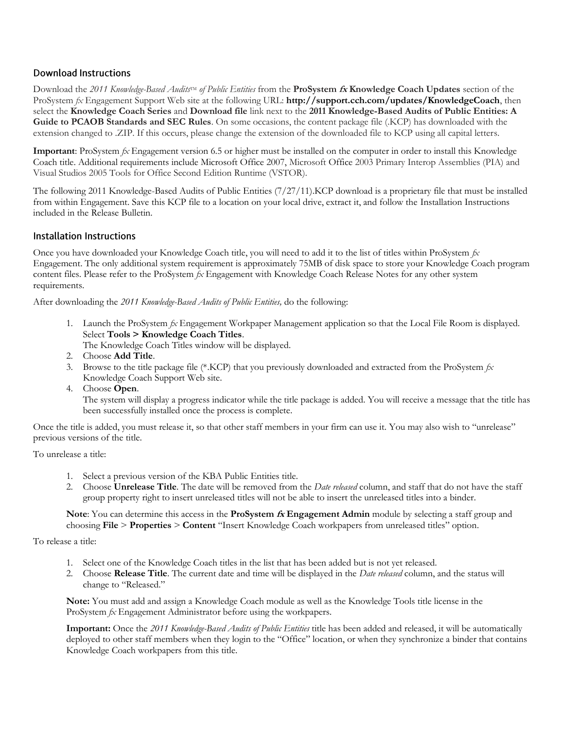#### **Download Instructions**

Download the 2011 *Knowledge-Based Audits*<sup>TM</sup> of Public Entities from the **ProSystem** *fx* **Knowledge Coach Updates** section of the ProSystem *fx* Engagement Support Web site at the following URL: **http://support.cch.com/updates/KnowledgeCoach**, then select the **Knowledge Coach Series** and **Download file** link next to the **2011 Knowledge-Based Audits of Public Entities: A Guide to PCAOB Standards and SEC Rules**. On some occasions, the content package file (.KCP) has downloaded with the extension changed to .ZIP. If this occurs, please change the extension of the downloaded file to KCP using all capital letters.

**Important**: ProSystem *fx* Engagement version 6.5 or higher must be installed on the computer in order to install this Knowledge Coach title. Additional requirements include Microsoft Office 2007, Microsoft Office 2003 Primary Interop Assemblies (PIA) and Visual Studios 2005 Tools for Office Second Edition Runtime (VSTOR).

The following 2011 Knowledge-Based Audits of Public Entities (7/27/11).KCP download is a proprietary file that must be installed from within Engagement. Save this KCP file to a location on your local drive, extract it, and follow the Installation Instructions included in the Release Bulletin.

#### Installation Instructions

Once you have downloaded your Knowledge Coach title, you will need to add it to the list of titles within ProSystem *fx* Engagement. The only additional system requirement is approximately 75MB of disk space to store your Knowledge Coach program content files. Please refer to the ProSystem *fx* Engagement with Knowledge Coach Release Notes for any other system requirements.

After downloading the *2011 Knowledge-Based Audits of Public Entities,* do the following:

1. Launch the ProSystem *fx* Engagement Workpaper Management application so that the Local File Room is displayed. Select **Tools > Knowledge Coach Titles**.

The Knowledge Coach Titles window will be displayed.

- 2. Choose **Add Title**.
- 3. Browse to the title package file (\*.KCP) that you previously downloaded and extracted from the ProSystem *fx* Knowledge Coach Support Web site.
- 4. Choose **Open**.

The system will display a progress indicator while the title package is added. You will receive a message that the title has been successfully installed once the process is complete.

Once the title is added, you must release it, so that other staff members in your firm can use it. You may also wish to "unrelease" previous versions of the title.

To unrelease a title:

- 1. Select a previous version of the KBA Public Entities title.
- 2. Choose **Unrelease Title**. The date will be removed from the *Date released* column, and staff that do not have the staff group property right to insert unreleased titles will not be able to insert the unreleased titles into a binder.

#### **Note**: You can determine this access in the **ProSystem fx Engagement Admin** module by selecting a staff group and choosing **File** > **Properties** > **Content** "Insert Knowledge Coach workpapers from unreleased titles" option.

#### To release a title:

- 1. Select one of the Knowledge Coach titles in the list that has been added but is not yet released.
- 2. Choose **Release Title**. The current date and time will be displayed in the *Date released* column, and the status will change to "Released."

**Note:** You must add and assign a Knowledge Coach module as well as the Knowledge Tools title license in the ProSystem *fx* Engagement Administrator before using the workpapers.

**Important:** Once the *2011 Knowledge-Based Audits of Public Entities* title has been added and released, it will be automatically deployed to other staff members when they login to the "Office" location, or when they synchronize a binder that contains Knowledge Coach workpapers from this title.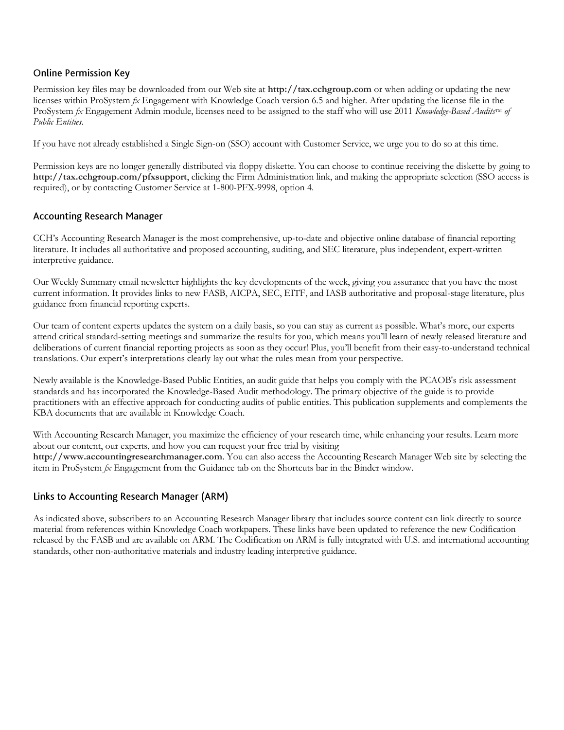#### **Online Permission Key**

Permission key files may be downloaded from our Web site at **http://tax.cchgroup.com** or when adding or updating the new licenses within ProSystem *fx* Engagement with Knowledge Coach version 6.5 and higher. After updating the license file in the ProSystem *fx* Engagement Admin module, licenses need to be assigned to the staff who will use 2011 *Knowledge-Based Audits*<sup>IM</sup> of *Public Entities*.

If you have not already established a Single Sign-on (SSO) account with Customer Service, we urge you to do so at this time.

Permission keys are no longer generally distributed via floppy diskette. You can choose to continue receiving the diskette by going to **http://tax.cchgroup.com/pfxsupport**, clicking the Firm Administration link, and making the appropriate selection (SSO access is required), or by contacting Customer Service at 1-800-PFX-9998, option 4.

#### **Accounting Research Manager**

CCH's Accounting Research Manager is the most comprehensive, up-to-date and objective online database of financial reporting literature. It includes all authoritative and proposed accounting, auditing, and SEC literature, plus independent, expert-written interpretive guidance.

Our Weekly Summary email newsletter highlights the key developments of the week, giving you assurance that you have the most current information. It provides links to new FASB, AICPA, SEC, EITF, and IASB authoritative and proposal-stage literature, plus guidance from financial reporting experts.

Our team of content experts updates the system on a daily basis, so you can stay as current as possible. What's more, our experts attend critical standard-setting meetings and summarize the results for you, which means you'll learn of newly released literature and deliberations of current financial reporting projects as soon as they occur! Plus, you'll benefit from their easy-to-understand technical translations. Our expert's interpretations clearly lay out what the rules mean from your perspective.

Newly available is the Knowledge-Based Public Entities, an audit guide that helps you comply with the PCAOB's risk assessment standards and has incorporated the Knowledge-Based Audit methodology. The primary objective of the guide is to provide practitioners with an effective approach for conducting audits of public entities. This publication supplements and complements the KBA documents that are available in Knowledge Coach.

With Accounting Research Manager, you maximize the efficiency of your research time, while enhancing your results. Learn more about our content, our experts, and how you can request your free trial by visiting **http://www.accountingresearchmanager.com**. You can also access the Accounting Research Manager Web site by selecting the item in ProSystem *fx* Engagement from the Guidance tab on the Shortcuts bar in the Binder window.

### Links to Accounting Research Manager (ARM)

As indicated above, subscribers to an Accounting Research Manager library that includes source content can link directly to source material from references within Knowledge Coach workpapers. These links have been updated to reference the new Codification released by the FASB and are available on ARM. The Codification on ARM is fully integrated with U.S. and international accounting standards, other non-authoritative materials and industry leading interpretive guidance.